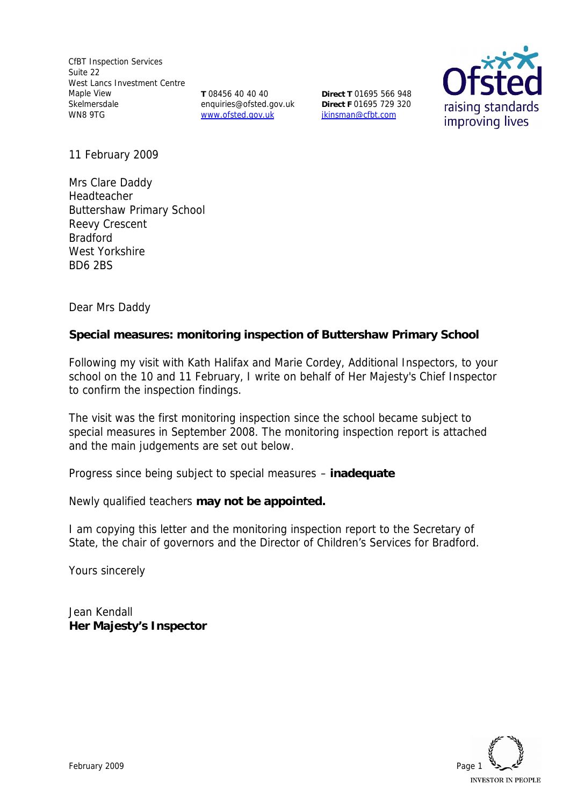CfBT Inspection Services Suite 22 West Lancs Investment Centre Maple View Skelmersdale WN8 9TG

**T** 08456 40 40 40 enquiries@ofsted.gov.uk www.ofsted.gov.uk

**Direct T** 01695 566 948 **Direct F** 01695 729 320 jkinsman@cfbt.com



11 February 2009

Mrs Clare Daddy Headteacher Buttershaw Primary School Reevy Crescent Bradford West Yorkshire BD6 2BS

Dear Mrs Daddy

**Special measures: monitoring inspection of Buttershaw Primary School** 

Following my visit with Kath Halifax and Marie Cordey, Additional Inspectors, to your school on the 10 and 11 February, I write on behalf of Her Majesty's Chief Inspector to confirm the inspection findings.

The visit was the first monitoring inspection since the school became subject to special measures in September 2008. The monitoring inspection report is attached and the main judgements are set out below.

Progress since being subject to special measures – **inadequate**

Newly qualified teachers **may not be appointed.**

I am copying this letter and the monitoring inspection report to the Secretary of State, the chair of governors and the Director of Children's Services for Bradford.

Yours sincerely

Jean Kendall **Her Majesty's Inspector**

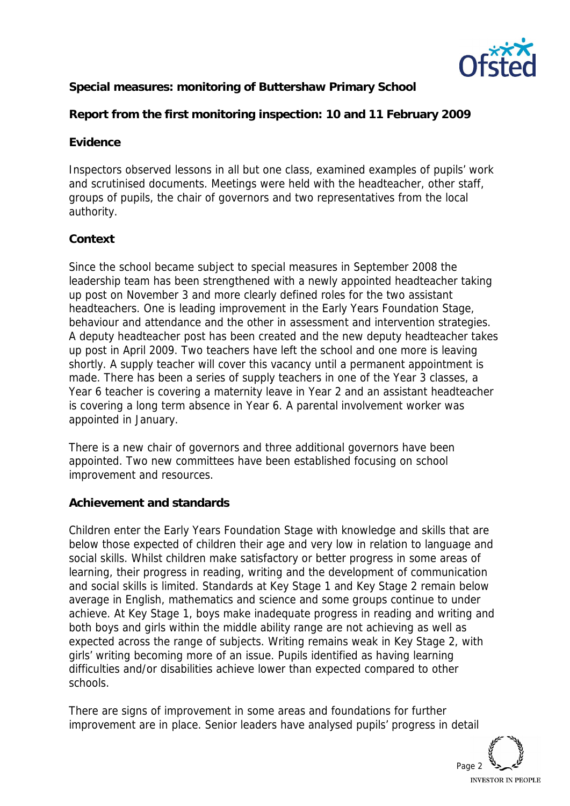

**Special measures: monitoring of Buttershaw Primary School**

**Report from the first monitoring inspection: 10 and 11 February 2009**

#### **Evidence**

Inspectors observed lessons in all but one class, examined examples of pupils' work and scrutinised documents. Meetings were held with the headteacher, other staff, groups of pupils, the chair of governors and two representatives from the local authority.

## **Context**

Since the school became subject to special measures in September 2008 the leadership team has been strengthened with a newly appointed headteacher taking up post on November 3 and more clearly defined roles for the two assistant headteachers. One is leading improvement in the Early Years Foundation Stage, behaviour and attendance and the other in assessment and intervention strategies. A deputy headteacher post has been created and the new deputy headteacher takes up post in April 2009. Two teachers have left the school and one more is leaving shortly. A supply teacher will cover this vacancy until a permanent appointment is made. There has been a series of supply teachers in one of the Year 3 classes, a Year 6 teacher is covering a maternity leave in Year 2 and an assistant headteacher is covering a long term absence in Year 6. A parental involvement worker was appointed in January.

There is a new chair of governors and three additional governors have been appointed. Two new committees have been established focusing on school improvement and resources.

## **Achievement and standards**

Children enter the Early Years Foundation Stage with knowledge and skills that are below those expected of children their age and very low in relation to language and social skills. Whilst children make satisfactory or better progress in some areas of learning, their progress in reading, writing and the development of communication and social skills is limited. Standards at Key Stage 1 and Key Stage 2 remain below average in English, mathematics and science and some groups continue to under achieve. At Key Stage 1, boys make inadequate progress in reading and writing and both boys and girls within the middle ability range are not achieving as well as expected across the range of subjects. Writing remains weak in Key Stage 2, with girls' writing becoming more of an issue. Pupils identified as having learning difficulties and/or disabilities achieve lower than expected compared to other schools.

There are signs of improvement in some areas and foundations for further improvement are in place. Senior leaders have analysed pupils' progress in detail

Page 2 **INVESTOR IN PEOPLE**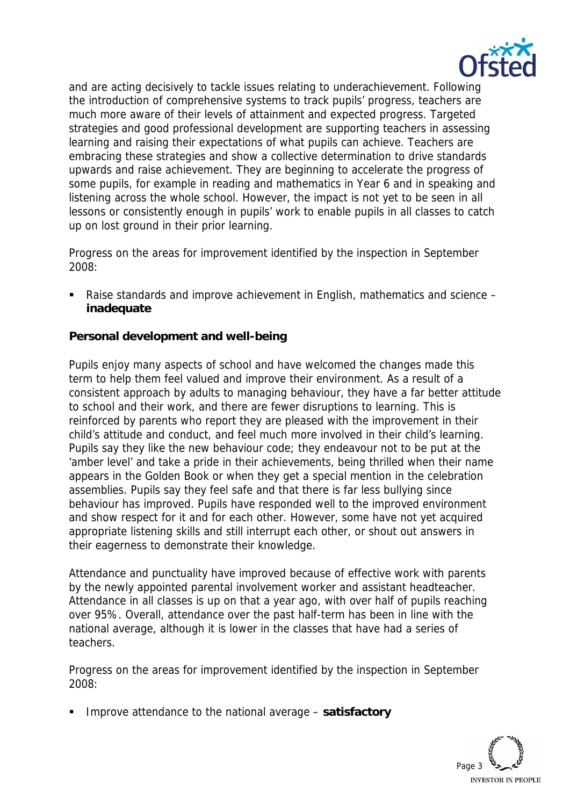

and are acting decisively to tackle issues relating to underachievement. Following the introduction of comprehensive systems to track pupils' progress, teachers are much more aware of their levels of attainment and expected progress. Targeted strategies and good professional development are supporting teachers in assessing learning and raising their expectations of what pupils can achieve. Teachers are embracing these strategies and show a collective determination to drive standards upwards and raise achievement. They are beginning to accelerate the progress of some pupils, for example in reading and mathematics in Year 6 and in speaking and listening across the whole school. However, the impact is not yet to be seen in all lessons or consistently enough in pupils' work to enable pupils in all classes to catch up on lost ground in their prior learning.

Progress on the areas for improvement identified by the inspection in September 2008:

■ Raise standards and improve achievement in English, mathematics and science – **inadequate** 

**Personal development and well-being** 

Pupils enjoy many aspects of school and have welcomed the changes made this term to help them feel valued and improve their environment. As a result of a consistent approach by adults to managing behaviour, they have a far better attitude to school and their work, and there are fewer disruptions to learning. This is reinforced by parents who report they are pleased with the improvement in their child's attitude and conduct, and feel much more involved in their child's learning. Pupils say they like the new behaviour code; they endeavour not to be put at the 'amber level' and take a pride in their achievements, being thrilled when their name appears in the Golden Book or when they get a special mention in the celebration assemblies. Pupils say they feel safe and that there is far less bullying since behaviour has improved. Pupils have responded well to the improved environment and show respect for it and for each other. However, some have not yet acquired appropriate listening skills and still interrupt each other, or shout out answers in their eagerness to demonstrate their knowledge.

Attendance and punctuality have improved because of effective work with parents by the newly appointed parental involvement worker and assistant headteacher. Attendance in all classes is up on that a year ago, with over half of pupils reaching over 95%. Overall, attendance over the past half-term has been in line with the national average, although it is lower in the classes that have had a series of teachers.

Progress on the areas for improvement identified by the inspection in September 2008:

Improve attendance to the national average – **satisfactory** 

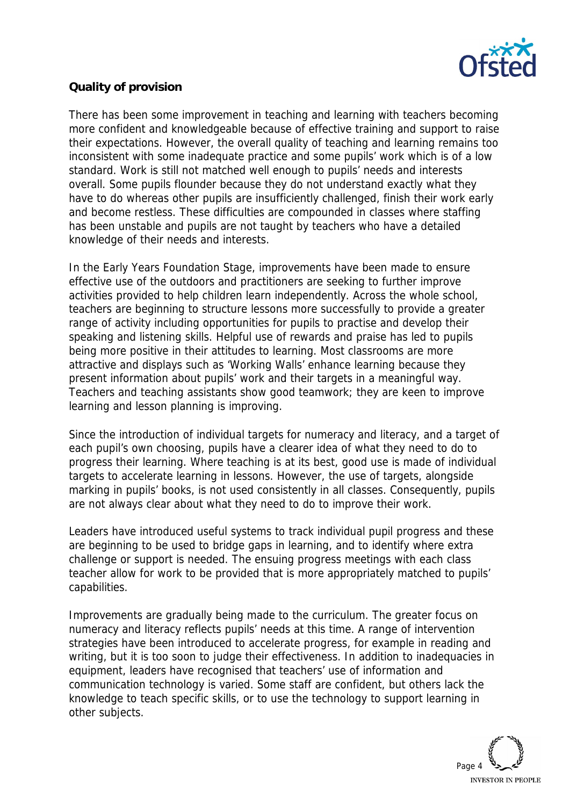

# **Quality of provision**

There has been some improvement in teaching and learning with teachers becoming more confident and knowledgeable because of effective training and support to raise their expectations. However, the overall quality of teaching and learning remains too inconsistent with some inadequate practice and some pupils' work which is of a low standard. Work is still not matched well enough to pupils' needs and interests overall. Some pupils flounder because they do not understand exactly what they have to do whereas other pupils are insufficiently challenged, finish their work early and become restless. These difficulties are compounded in classes where staffing has been unstable and pupils are not taught by teachers who have a detailed knowledge of their needs and interests.

In the Early Years Foundation Stage, improvements have been made to ensure effective use of the outdoors and practitioners are seeking to further improve activities provided to help children learn independently. Across the whole school, teachers are beginning to structure lessons more successfully to provide a greater range of activity including opportunities for pupils to practise and develop their speaking and listening skills. Helpful use of rewards and praise has led to pupils being more positive in their attitudes to learning. Most classrooms are more attractive and displays such as 'Working Walls' enhance learning because they present information about pupils' work and their targets in a meaningful way. Teachers and teaching assistants show good teamwork; they are keen to improve learning and lesson planning is improving.

Since the introduction of individual targets for numeracy and literacy, and a target of each pupil's own choosing, pupils have a clearer idea of what they need to do to progress their learning. Where teaching is at its best, good use is made of individual targets to accelerate learning in lessons. However, the use of targets, alongside marking in pupils' books, is not used consistently in all classes. Consequently, pupils are not always clear about what they need to do to improve their work.

Leaders have introduced useful systems to track individual pupil progress and these are beginning to be used to bridge gaps in learning, and to identify where extra challenge or support is needed. The ensuing progress meetings with each class teacher allow for work to be provided that is more appropriately matched to pupils' capabilities.

Improvements are gradually being made to the curriculum. The greater focus on numeracy and literacy reflects pupils' needs at this time. A range of intervention strategies have been introduced to accelerate progress, for example in reading and writing, but it is too soon to judge their effectiveness. In addition to inadequacies in equipment, leaders have recognised that teachers' use of information and communication technology is varied. Some staff are confident, but others lack the knowledge to teach specific skills, or to use the technology to support learning in other subjects.

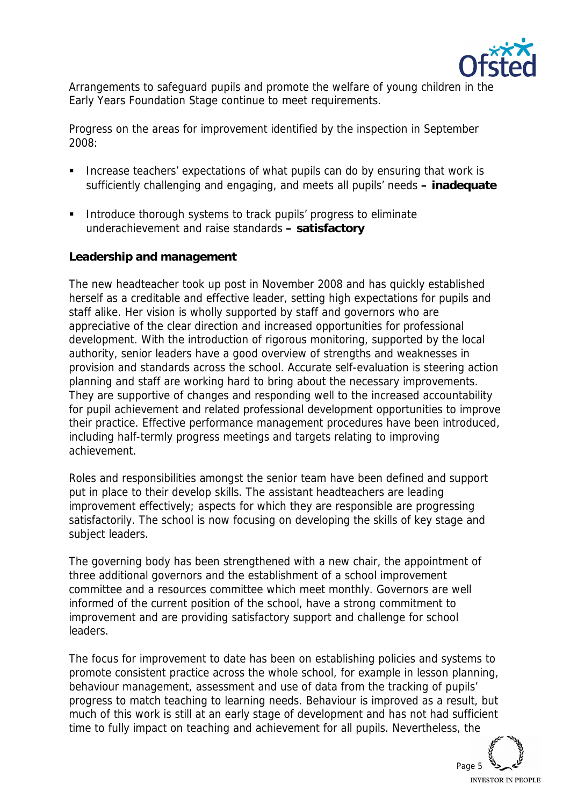

Arrangements to safeguard pupils and promote the welfare of young children in the Early Years Foundation Stage continue to meet requirements.

Progress on the areas for improvement identified by the inspection in September 2008:

- **Increase teachers' expectations of what pupils can do by ensuring that work is** sufficiently challenging and engaging, and meets all pupils' needs **– inadequate**
- **Introduce thorough systems to track pupils' progress to eliminate** underachievement and raise standards **– satisfactory**

#### **Leadership and management**

The new headteacher took up post in November 2008 and has quickly established herself as a creditable and effective leader, setting high expectations for pupils and staff alike. Her vision is wholly supported by staff and governors who are appreciative of the clear direction and increased opportunities for professional development. With the introduction of rigorous monitoring, supported by the local authority, senior leaders have a good overview of strengths and weaknesses in provision and standards across the school. Accurate self-evaluation is steering action planning and staff are working hard to bring about the necessary improvements. They are supportive of changes and responding well to the increased accountability for pupil achievement and related professional development opportunities to improve their practice. Effective performance management procedures have been introduced, including half-termly progress meetings and targets relating to improving achievement.

Roles and responsibilities amongst the senior team have been defined and support put in place to their develop skills. The assistant headteachers are leading improvement effectively; aspects for which they are responsible are progressing satisfactorily. The school is now focusing on developing the skills of key stage and subject leaders.

The governing body has been strengthened with a new chair, the appointment of three additional governors and the establishment of a school improvement committee and a resources committee which meet monthly. Governors are well informed of the current position of the school, have a strong commitment to improvement and are providing satisfactory support and challenge for school leaders.

The focus for improvement to date has been on establishing policies and systems to promote consistent practice across the whole school, for example in lesson planning, behaviour management, assessment and use of data from the tracking of pupils' progress to match teaching to learning needs. Behaviour is improved as a result, but much of this work is still at an early stage of development and has not had sufficient time to fully impact on teaching and achievement for all pupils. Nevertheless, the

Page 5 **INVESTOR IN PEOPLE**